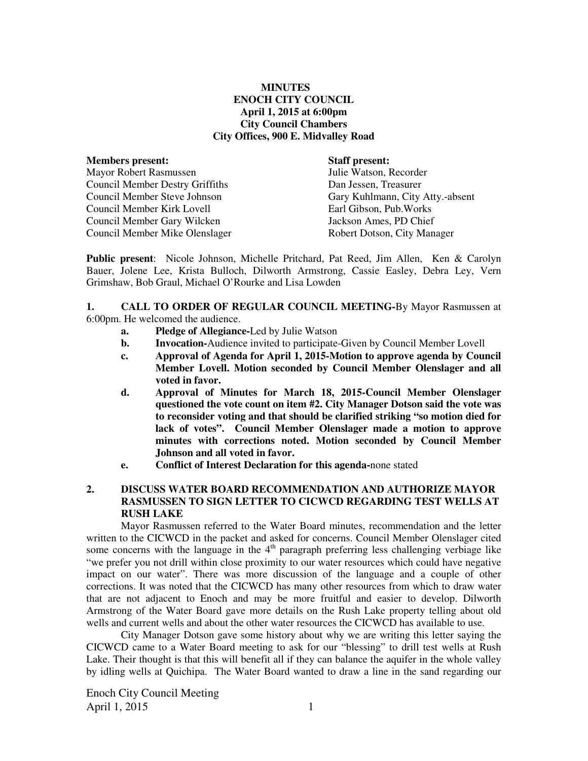### **MINUTES ENOCH CITY COUNCIL April 1, 2015 at 6:00pm City Council Chambers City Offices, 900 E. Midvalley Road**

| <b>Staff present:</b>            |
|----------------------------------|
| Julie Watson, Recorder           |
| Dan Jessen, Treasurer            |
| Gary Kuhlmann, City Atty.-absent |
| Earl Gibson, Pub. Works          |
| Jackson Ames, PD Chief           |
| Robert Dotson, City Manager      |
|                                  |

**Public present**: Nicole Johnson, Michelle Pritchard, Pat Reed, Jim Allen, Ken & Carolyn Bauer, Jolene Lee, Krista Bulloch, Dilworth Armstrong, Cassie Easley, Debra Ley, Vern Grimshaw, Bob Graul, Michael O'Rourke and Lisa Lowden

**1. CALL TO ORDER OF REGULAR COUNCIL MEETING-**By Mayor Rasmussen at 6:00pm. He welcomed the audience.

- **a. Pledge of Allegiance-**Led by Julie Watson
- **b.** Invocation-Audience invited to participate-Given by Council Member Lovell
- **c. Approval of Agenda for April 1, 2015-Motion to approve agenda by Council Member Lovell. Motion seconded by Council Member Olenslager and all voted in favor.**
- **d. Approval of Minutes for March 18, 2015-Council Member Olenslager questioned the vote count on item #2. City Manager Dotson said the vote was to reconsider voting and that should be clarified striking "so motion died for lack of votes". Council Member Olenslager made a motion to approve minutes with corrections noted. Motion seconded by Council Member Johnson and all voted in favor.**
- **e. Conflict of Interest Declaration for this agenda-**none stated

### **2. DISCUSS WATER BOARD RECOMMENDATION AND AUTHORIZE MAYOR RASMUSSEN TO SIGN LETTER TO CICWCD REGARDING TEST WELLS AT RUSH LAKE**

Mayor Rasmussen referred to the Water Board minutes, recommendation and the letter written to the CICWCD in the packet and asked for concerns. Council Member Olenslager cited some concerns with the language in the  $4<sup>th</sup>$  paragraph preferring less challenging verbiage like "we prefer you not drill within close proximity to our water resources which could have negative impact on our water". There was more discussion of the language and a couple of other corrections. It was noted that the CICWCD has many other resources from which to draw water that are not adjacent to Enoch and may be more fruitful and easier to develop. Dilworth Armstrong of the Water Board gave more details on the Rush Lake property telling about old wells and current wells and about the other water resources the CICWCD has available to use.

City Manager Dotson gave some history about why we are writing this letter saying the CICWCD came to a Water Board meeting to ask for our "blessing" to drill test wells at Rush Lake. Their thought is that this will benefit all if they can balance the aquifer in the whole valley by idling wells at Quichipa. The Water Board wanted to draw a line in the sand regarding our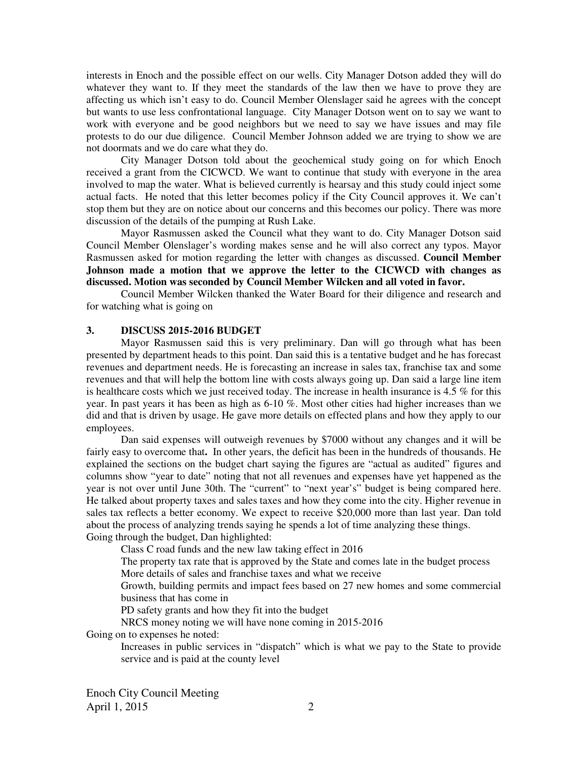interests in Enoch and the possible effect on our wells. City Manager Dotson added they will do whatever they want to. If they meet the standards of the law then we have to prove they are affecting us which isn't easy to do. Council Member Olenslager said he agrees with the concept but wants to use less confrontational language. City Manager Dotson went on to say we want to work with everyone and be good neighbors but we need to say we have issues and may file protests to do our due diligence. Council Member Johnson added we are trying to show we are not doormats and we do care what they do.

City Manager Dotson told about the geochemical study going on for which Enoch received a grant from the CICWCD. We want to continue that study with everyone in the area involved to map the water. What is believed currently is hearsay and this study could inject some actual facts. He noted that this letter becomes policy if the City Council approves it. We can't stop them but they are on notice about our concerns and this becomes our policy. There was more discussion of the details of the pumping at Rush Lake.

Mayor Rasmussen asked the Council what they want to do. City Manager Dotson said Council Member Olenslager's wording makes sense and he will also correct any typos. Mayor Rasmussen asked for motion regarding the letter with changes as discussed. **Council Member Johnson made a motion that we approve the letter to the CICWCD with changes as discussed. Motion was seconded by Council Member Wilcken and all voted in favor.** 

Council Member Wilcken thanked the Water Board for their diligence and research and for watching what is going on

#### **3. DISCUSS 2015-2016 BUDGET**

Mayor Rasmussen said this is very preliminary. Dan will go through what has been presented by department heads to this point. Dan said this is a tentative budget and he has forecast revenues and department needs. He is forecasting an increase in sales tax, franchise tax and some revenues and that will help the bottom line with costs always going up. Dan said a large line item is healthcare costs which we just received today. The increase in health insurance is 4.5 % for this year. In past years it has been as high as 6-10 %. Most other cities had higher increases than we did and that is driven by usage. He gave more details on effected plans and how they apply to our employees.

Dan said expenses will outweigh revenues by \$7000 without any changes and it will be fairly easy to overcome that**.** In other years, the deficit has been in the hundreds of thousands. He explained the sections on the budget chart saying the figures are "actual as audited" figures and columns show "year to date" noting that not all revenues and expenses have yet happened as the year is not over until June 30th. The "current" to "next year's" budget is being compared here. He talked about property taxes and sales taxes and how they come into the city. Higher revenue in sales tax reflects a better economy. We expect to receive \$20,000 more than last year. Dan told about the process of analyzing trends saying he spends a lot of time analyzing these things. Going through the budget, Dan highlighted:

Class C road funds and the new law taking effect in 2016

The property tax rate that is approved by the State and comes late in the budget process More details of sales and franchise taxes and what we receive

Growth, building permits and impact fees based on 27 new homes and some commercial business that has come in

PD safety grants and how they fit into the budget

NRCS money noting we will have none coming in 2015-2016

Going on to expenses he noted:

Increases in public services in "dispatch" which is what we pay to the State to provide service and is paid at the county level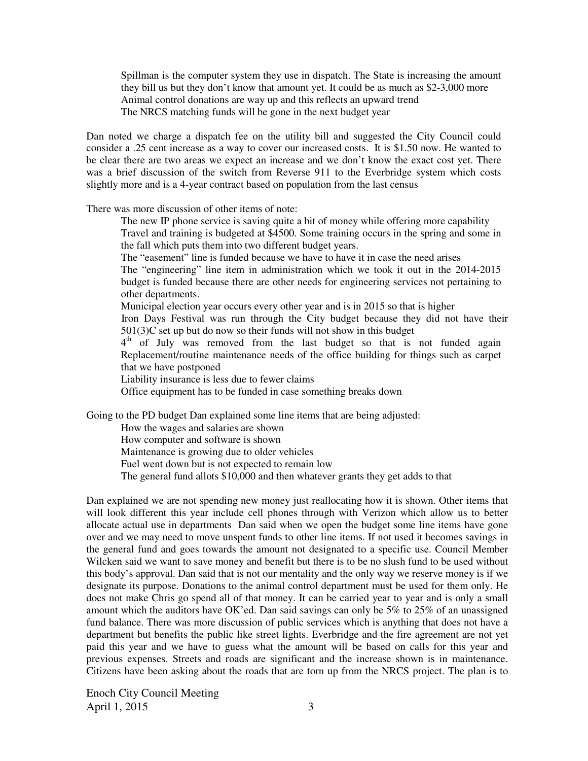Spillman is the computer system they use in dispatch. The State is increasing the amount they bill us but they don't know that amount yet. It could be as much as \$2-3,000 more Animal control donations are way up and this reflects an upward trend The NRCS matching funds will be gone in the next budget year

Dan noted we charge a dispatch fee on the utility bill and suggested the City Council could consider a .25 cent increase as a way to cover our increased costs. It is \$1.50 now. He wanted to be clear there are two areas we expect an increase and we don't know the exact cost yet. There was a brief discussion of the switch from Reverse 911 to the Everbridge system which costs slightly more and is a 4-year contract based on population from the last census

There was more discussion of other items of note:

The new IP phone service is saving quite a bit of money while offering more capability Travel and training is budgeted at \$4500. Some training occurs in the spring and some in the fall which puts them into two different budget years.

The "easement" line is funded because we have to have it in case the need arises The "engineering" line item in administration which we took it out in the 2014-2015 budget is funded because there are other needs for engineering services not pertaining to other departments.

Municipal election year occurs every other year and is in 2015 so that is higher Iron Days Festival was run through the City budget because they did not have their 501(3)C set up but do now so their funds will not show in this budget

4<sup>th</sup> of July was removed from the last budget so that is not funded again Replacement/routine maintenance needs of the office building for things such as carpet that we have postponed

Liability insurance is less due to fewer claims

Office equipment has to be funded in case something breaks down

Going to the PD budget Dan explained some line items that are being adjusted:

How the wages and salaries are shown

How computer and software is shown

Maintenance is growing due to older vehicles

Fuel went down but is not expected to remain low

The general fund allots \$10,000 and then whatever grants they get adds to that

Dan explained we are not spending new money just reallocating how it is shown. Other items that will look different this year include cell phones through with Verizon which allow us to better allocate actual use in departments Dan said when we open the budget some line items have gone over and we may need to move unspent funds to other line items. If not used it becomes savings in the general fund and goes towards the amount not designated to a specific use. Council Member Wilcken said we want to save money and benefit but there is to be no slush fund to be used without this body's approval. Dan said that is not our mentality and the only way we reserve money is if we designate its purpose. Donations to the animal control department must be used for them only. He does not make Chris go spend all of that money. It can be carried year to year and is only a small amount which the auditors have OK'ed. Dan said savings can only be 5% to 25% of an unassigned fund balance. There was more discussion of public services which is anything that does not have a department but benefits the public like street lights. Everbridge and the fire agreement are not yet paid this year and we have to guess what the amount will be based on calls for this year and previous expenses. Streets and roads are significant and the increase shown is in maintenance. Citizens have been asking about the roads that are torn up from the NRCS project. The plan is to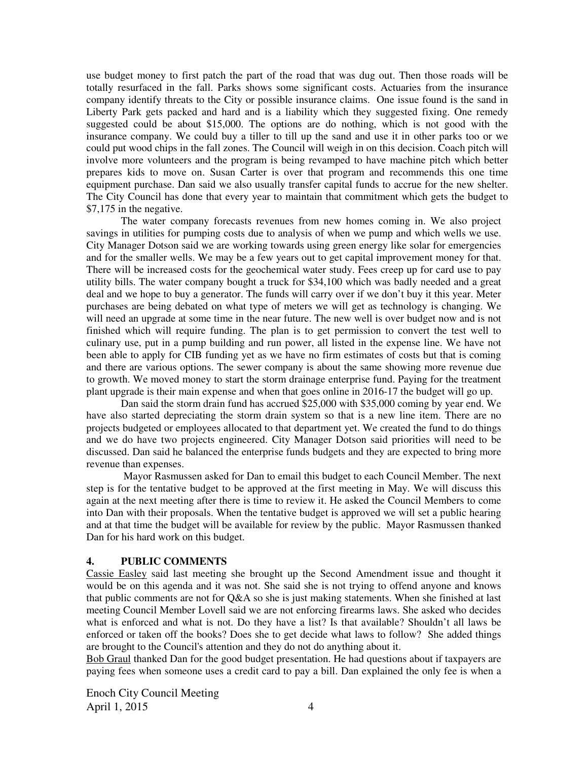use budget money to first patch the part of the road that was dug out. Then those roads will be totally resurfaced in the fall. Parks shows some significant costs. Actuaries from the insurance company identify threats to the City or possible insurance claims. One issue found is the sand in Liberty Park gets packed and hard and is a liability which they suggested fixing. One remedy suggested could be about \$15,000. The options are do nothing, which is not good with the insurance company. We could buy a tiller to till up the sand and use it in other parks too or we could put wood chips in the fall zones. The Council will weigh in on this decision. Coach pitch will involve more volunteers and the program is being revamped to have machine pitch which better prepares kids to move on. Susan Carter is over that program and recommends this one time equipment purchase. Dan said we also usually transfer capital funds to accrue for the new shelter. The City Council has done that every year to maintain that commitment which gets the budget to \$7,175 in the negative.

The water company forecasts revenues from new homes coming in. We also project savings in utilities for pumping costs due to analysis of when we pump and which wells we use. City Manager Dotson said we are working towards using green energy like solar for emergencies and for the smaller wells. We may be a few years out to get capital improvement money for that. There will be increased costs for the geochemical water study. Fees creep up for card use to pay utility bills. The water company bought a truck for \$34,100 which was badly needed and a great deal and we hope to buy a generator. The funds will carry over if we don't buy it this year. Meter purchases are being debated on what type of meters we will get as technology is changing. We will need an upgrade at some time in the near future. The new well is over budget now and is not finished which will require funding. The plan is to get permission to convert the test well to culinary use, put in a pump building and run power, all listed in the expense line. We have not been able to apply for CIB funding yet as we have no firm estimates of costs but that is coming and there are various options. The sewer company is about the same showing more revenue due to growth. We moved money to start the storm drainage enterprise fund. Paying for the treatment plant upgrade is their main expense and when that goes online in 2016-17 the budget will go up.

Dan said the storm drain fund has accrued \$25,000 with \$35,000 coming by year end. We have also started depreciating the storm drain system so that is a new line item. There are no projects budgeted or employees allocated to that department yet. We created the fund to do things and we do have two projects engineered. City Manager Dotson said priorities will need to be discussed. Dan said he balanced the enterprise funds budgets and they are expected to bring more revenue than expenses.

 Mayor Rasmussen asked for Dan to email this budget to each Council Member. The next step is for the tentative budget to be approved at the first meeting in May. We will discuss this again at the next meeting after there is time to review it. He asked the Council Members to come into Dan with their proposals. When the tentative budget is approved we will set a public hearing and at that time the budget will be available for review by the public. Mayor Rasmussen thanked Dan for his hard work on this budget.

### **4. PUBLIC COMMENTS**

Cassie Easley said last meeting she brought up the Second Amendment issue and thought it would be on this agenda and it was not. She said she is not trying to offend anyone and knows that public comments are not for Q&A so she is just making statements. When she finished at last meeting Council Member Lovell said we are not enforcing firearms laws. She asked who decides what is enforced and what is not. Do they have a list? Is that available? Shouldn't all laws be enforced or taken off the books? Does she to get decide what laws to follow? She added things are brought to the Council's attention and they do not do anything about it.

Bob Graul thanked Dan for the good budget presentation. He had questions about if taxpayers are paying fees when someone uses a credit card to pay a bill. Dan explained the only fee is when a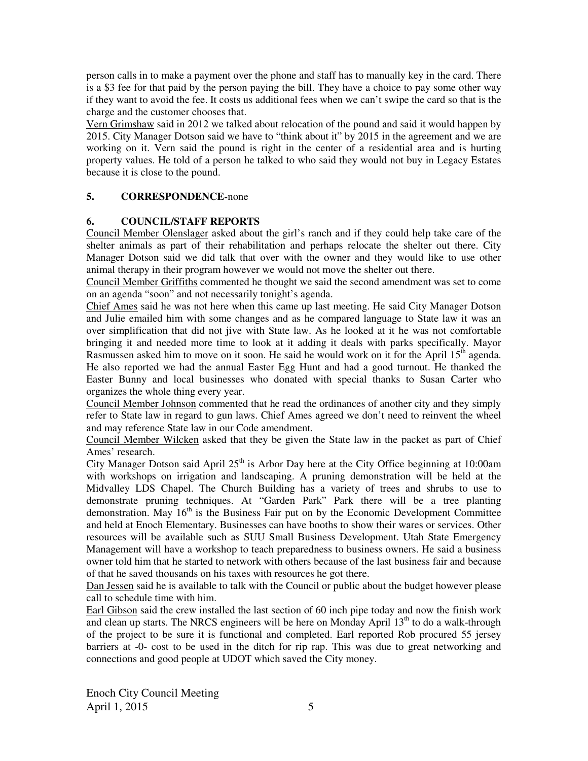person calls in to make a payment over the phone and staff has to manually key in the card. There is a \$3 fee for that paid by the person paying the bill. They have a choice to pay some other way if they want to avoid the fee. It costs us additional fees when we can't swipe the card so that is the charge and the customer chooses that.

Vern Grimshaw said in 2012 we talked about relocation of the pound and said it would happen by 2015. City Manager Dotson said we have to "think about it" by 2015 in the agreement and we are working on it. Vern said the pound is right in the center of a residential area and is hurting property values. He told of a person he talked to who said they would not buy in Legacy Estates because it is close to the pound.

# **5. CORRESPONDENCE-**none

## **6. COUNCIL/STAFF REPORTS**

Council Member Olenslager asked about the girl's ranch and if they could help take care of the shelter animals as part of their rehabilitation and perhaps relocate the shelter out there. City Manager Dotson said we did talk that over with the owner and they would like to use other animal therapy in their program however we would not move the shelter out there.

Council Member Griffiths commented he thought we said the second amendment was set to come on an agenda "soon" and not necessarily tonight's agenda.

Chief Ames said he was not here when this came up last meeting. He said City Manager Dotson and Julie emailed him with some changes and as he compared language to State law it was an over simplification that did not jive with State law. As he looked at it he was not comfortable bringing it and needed more time to look at it adding it deals with parks specifically. Mayor Rasmussen asked him to move on it soon. He said he would work on it for the April  $15<sup>th</sup>$  agenda. He also reported we had the annual Easter Egg Hunt and had a good turnout. He thanked the Easter Bunny and local businesses who donated with special thanks to Susan Carter who organizes the whole thing every year.

Council Member Johnson commented that he read the ordinances of another city and they simply refer to State law in regard to gun laws. Chief Ames agreed we don't need to reinvent the wheel and may reference State law in our Code amendment.

Council Member Wilcken asked that they be given the State law in the packet as part of Chief Ames' research.

City Manager Dotson said April  $25<sup>th</sup>$  is Arbor Day here at the City Office beginning at 10:00am with workshops on irrigation and landscaping. A pruning demonstration will be held at the Midvalley LDS Chapel. The Church Building has a variety of trees and shrubs to use to demonstrate pruning techniques. At "Garden Park" Park there will be a tree planting demonstration. May  $16<sup>th</sup>$  is the Business Fair put on by the Economic Development Committee and held at Enoch Elementary. Businesses can have booths to show their wares or services. Other resources will be available such as SUU Small Business Development. Utah State Emergency Management will have a workshop to teach preparedness to business owners. He said a business owner told him that he started to network with others because of the last business fair and because of that he saved thousands on his taxes with resources he got there.

Dan Jessen said he is available to talk with the Council or public about the budget however please call to schedule time with him.

Earl Gibson said the crew installed the last section of 60 inch pipe today and now the finish work and clean up starts. The NRCS engineers will be here on Monday April  $13<sup>th</sup>$  to do a walk-through of the project to be sure it is functional and completed. Earl reported Rob procured 55 jersey barriers at -0- cost to be used in the ditch for rip rap. This was due to great networking and connections and good people at UDOT which saved the City money.